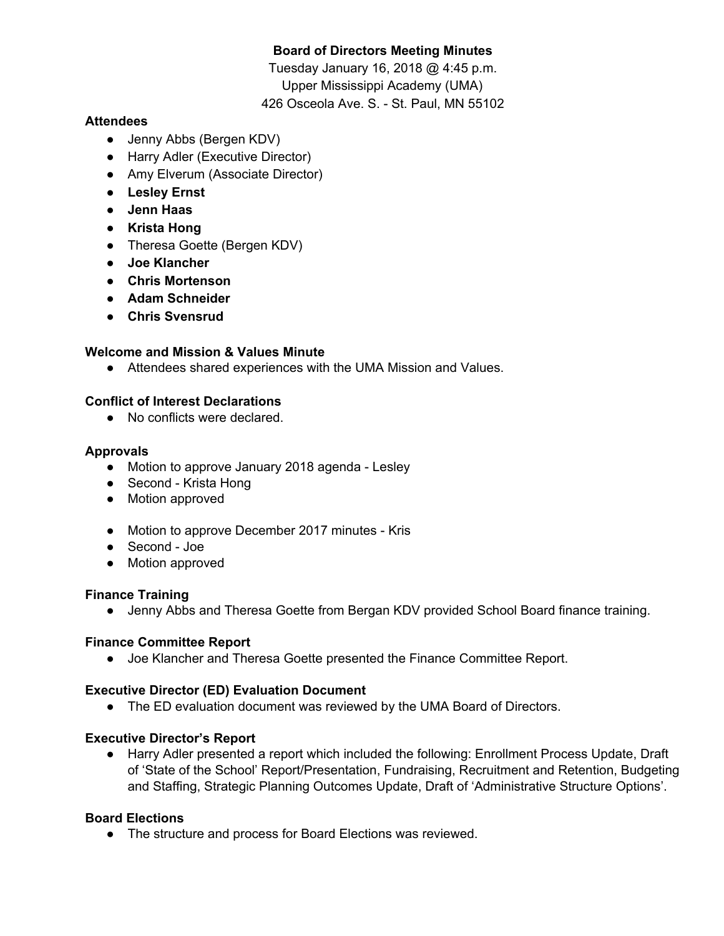# **Board of Directors Meeting Minutes**

Tuesday January 16, 2018 @ 4:45 p.m. Upper Mississippi Academy (UMA) 426 Osceola Ave. S. - St. Paul, MN 55102

## **Attendees**

- Jenny Abbs (Bergen KDV)
- Harry Adler (Executive Director)
- Amy Elverum (Associate Director)
- **● Lesley Ernst**
- **● Jenn Haas**
- **● Krista Hong**
- Theresa Goette (Bergen KDV)
- **● Joe Klancher**
- **● Chris Mortenson**
- **● Adam Schneider**
- **● Chris Svensrud**

## **Welcome and Mission & Values Minute**

● Attendees shared experiences with the UMA Mission and Values.

## **Conflict of Interest Declarations**

● No conflicts were declared.

#### **Approvals**

- Motion to approve January 2018 agenda Lesley
- Second Krista Hong
- Motion approved
- Motion to approve December 2017 minutes Kris
- Second Joe
- Motion approved

#### **Finance Training**

● Jenny Abbs and Theresa Goette from Bergan KDV provided School Board finance training.

#### **Finance Committee Report**

● Joe Klancher and Theresa Goette presented the Finance Committee Report.

#### **Executive Director (ED) Evaluation Document**

● The ED evaluation document was reviewed by the UMA Board of Directors.

#### **Executive Director's Report**

● Harry Adler presented a report which included the following: Enrollment Process Update, Draft of 'State of the School' Report/Presentation, Fundraising, Recruitment and Retention, Budgeting and Staffing, Strategic Planning Outcomes Update, Draft of 'Administrative Structure Options'.

## **Board Elections**

● The structure and process for Board Elections was reviewed.